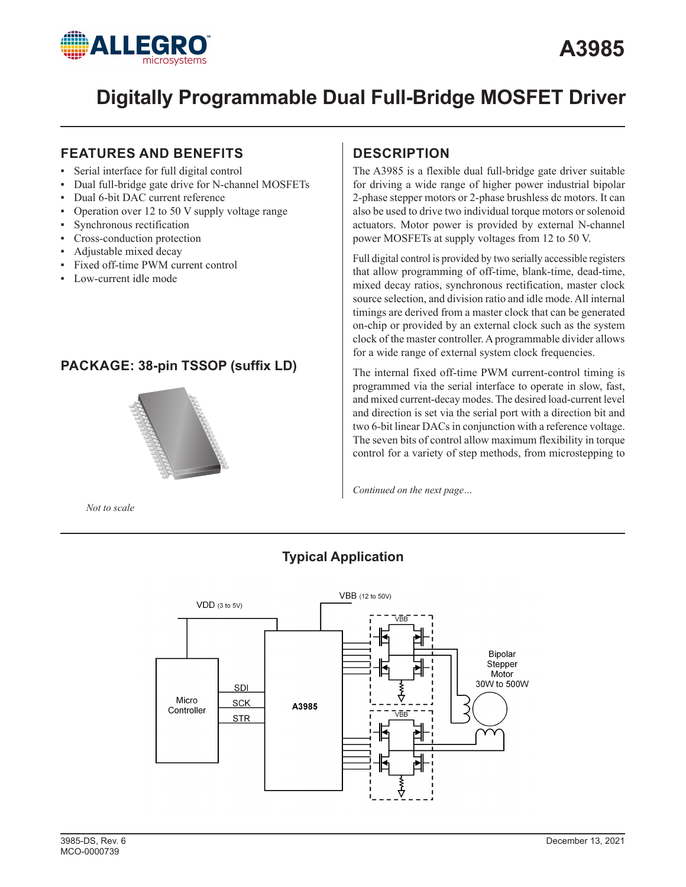

# **FEATURES AND BENEFITS**

- Serial interface for full digital control
- Dual full-bridge gate drive for N-channel MOSFETs
- Dual 6-bit DAC current reference
- Operation over  $12$  to  $50$  V supply voltage range
- Synchronous rectification
- Cross-conduction protection
- Adjustable mixed decay
- Fixed off-time PWM current control
- Low-current idle mode

# **PACKAGE: 38-pin TSSOP (suffix LD)**



*Not to scale*

# **DESCRIPTION**

The A3985 is a flexible dual full-bridge gate driver suitable for driving a wide range of higher power industrial bipolar 2-phase stepper motors or 2-phase brushless dc motors. It can also be used to drive two individual torque motors or solenoid actuators. Motor power is provided by external N-channel power MOSFETs at supply voltages from 12 to 50 V.

Full digital control is provided by two serially accessible registers that allow programming of off-time, blank-time, dead-time, mixed decay ratios, synchronous rectification, master clock source selection, and division ratio and idle mode. All internal timings are derived from a master clock that can be generated on-chip or provided by an external clock such as the system clock of the master controller. A programmable divider allows for a wide range of external system clock frequencies.

The internal fixed off-time PWM current-control timing is programmed via the serial interface to operate in slow, fast, and mixed current-decay modes. The desired load-current level and direction is set via the serial port with a direction bit and two 6-bit linear DACs in conjunction with a reference voltage. The seven bits of control allow maximum flexibility in torque control for a variety of step methods, from microstepping to

*Continued on the next page…*



# **Typical Application**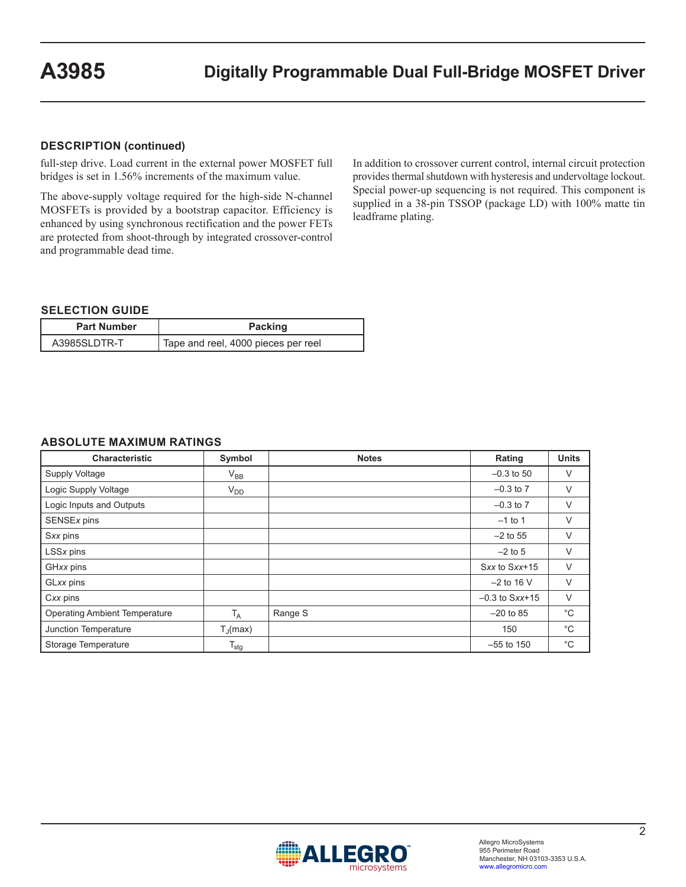#### **DESCRIPTION (continued)**

full-step drive. Load current in the external power MOSFET full bridges is set in 1.56% increments of the maximum value.

The above-supply voltage required for the high-side N-channel MOSFETs is provided by a bootstrap capacitor. Efficiency is enhanced by using synchronous rectification and the power FETs are protected from shoot-through by integrated crossover-control and programmable dead time.

In addition to crossover current control, internal circuit protection provides thermal shutdown with hysteresis and undervoltage lockout. Special power-up sequencing is not required. This component is supplied in a 38-pin TSSOP (package LD) with 100% matte tin leadframe plating.

#### **SELECTION GUIDE**

| <b>Part Number</b> | <b>Packing</b>                      |  |
|--------------------|-------------------------------------|--|
| A3985SLDTR-T       | Tape and reel, 4000 pieces per reel |  |

#### **ABSOLUTE MAXIMUM RATINGS**

| <b>Characteristic</b>                | Symbol                | <b>Notes</b> | Rating                      | <b>Units</b> |
|--------------------------------------|-----------------------|--------------|-----------------------------|--------------|
| Supply Voltage                       | $V_{BB}$              |              | $-0.3$ to 50                | V            |
| Logic Supply Voltage                 | $V_{DD}$              |              | $-0.3$ to $7$               | V            |
| Logic Inputs and Outputs             |                       |              | $-0.3$ to $7$               | V            |
| SENSEx pins                          |                       |              | $-1$ to 1                   | V            |
| Sxx pins                             |                       |              | $-2$ to 55                  | $\vee$       |
| LSSx pins                            |                       |              | $-2$ to 5                   | $\vee$       |
| GHxx pins                            |                       |              | Sxx to Sxx+15               | V            |
| GLxx pins                            |                       |              | $-2$ to 16 V                | V            |
| Cxx pins                             |                       |              | $-0.3$ to $S$ <i>xx</i> +15 | $\vee$       |
| <b>Operating Ambient Temperature</b> | $T_A$                 | Range S      | $-20$ to 85                 | $^{\circ}C$  |
| Junction Temperature                 | $T_{\parallel}$ (max) |              | 150                         | $^{\circ}C$  |
| Storage Temperature                  | $T_{\text{stg}}$      |              | $-55$ to 150                | $^{\circ}$ C |

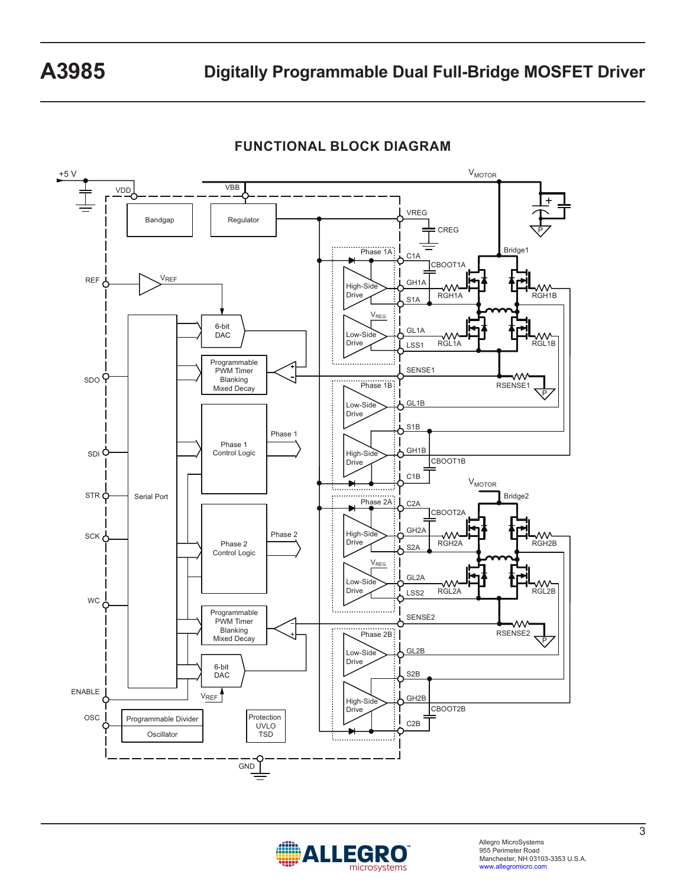

**FUNCTIONAL BLOCK DIAGRAM**

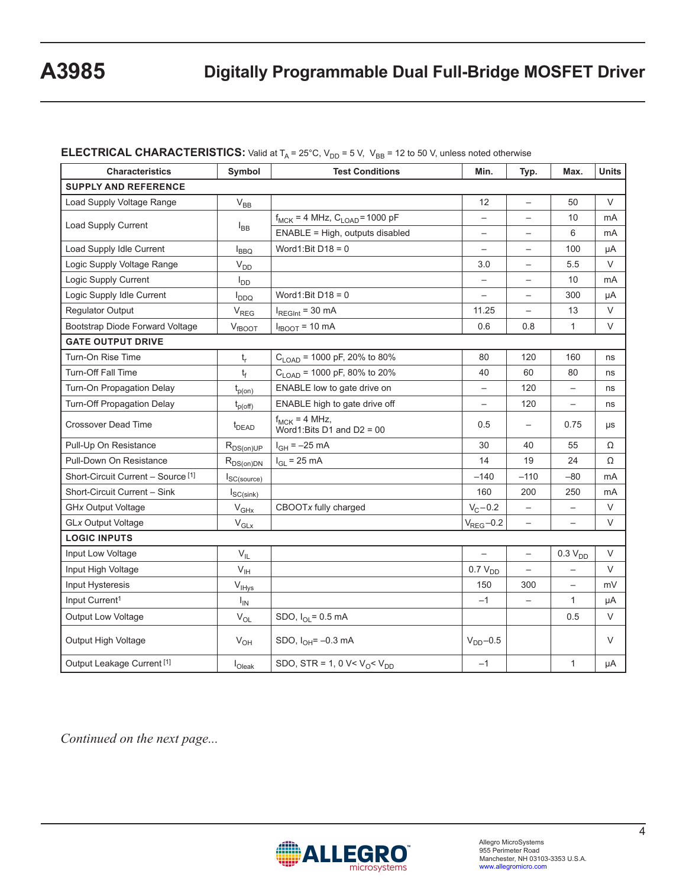# **ELECTRICAL CHARACTERISTICS:** Valid at  $T_A = 25^{\circ}$ C,  $V_{DD} = 5$  V,  $V_{BB} = 12$  to 50 V, unless noted otherwise

| <b>Characteristics</b>                | Symbol                      | <b>Test Conditions</b>                             | Min.                     | Typ.                     | Max.                     | <b>Units</b> |  |
|---------------------------------------|-----------------------------|----------------------------------------------------|--------------------------|--------------------------|--------------------------|--------------|--|
| <b>SUPPLY AND REFERENCE</b>           |                             |                                                    |                          |                          |                          |              |  |
| Load Supply Voltage Range             | $V_{BB}$                    |                                                    | 12                       | $\overline{\phantom{0}}$ | 50                       | $\vee$       |  |
|                                       |                             | $f_{MCK}$ = 4 MHz, $C_{LOAD}$ = 1000 pF            | $\overline{\phantom{0}}$ |                          | 10                       | mA           |  |
| Load Supply Current                   | $I_{BB}$                    | ENABLE = High, outputs disabled                    | $\qquad \qquad -$        | $\qquad \qquad -$        | 6                        | mA           |  |
| Load Supply Idle Current              | $I_{BBQ}$                   | Word1:Bit $D18 = 0$                                | $\overline{\phantom{0}}$ | $\overline{\phantom{0}}$ | 100                      | μA           |  |
| Logic Supply Voltage Range            | V <sub>DD</sub>             |                                                    | 3.0                      |                          | 5.5                      | V            |  |
| Logic Supply Current                  | $I_{DD}$                    |                                                    |                          |                          | 10                       | mA           |  |
| Logic Supply Idle Current             | $I_{DDQ}$                   | Word1:Bit $D18 = 0$                                | $\overline{\phantom{0}}$ | $\overline{\phantom{0}}$ | 300                      | μA           |  |
| <b>Regulator Output</b>               | $\mathsf{V}_{\mathsf{REG}}$ | $I_{\text{REGInt}}$ = 30 mA                        | 11.25                    | $\equiv$                 | 13                       | $\vee$       |  |
| Bootstrap Diode Forward Voltage       | $V_{fBOOT}$                 | $I_{fBOOT}$ = 10 mA                                | 0.6                      | 0.8                      | $\mathbf{1}$             | $\vee$       |  |
| <b>GATE OUTPUT DRIVE</b>              |                             |                                                    |                          |                          |                          |              |  |
| Turn-On Rise Time                     | $\mathsf{t}_{\mathsf{r}}$   | $C_{\text{LOAD}}$ = 1000 pF, 20% to 80%            | 80                       | 120                      | 160                      | ns           |  |
| <b>Turn-Off Fall Time</b>             | t                           | $C_{\text{LOAD}}$ = 1000 pF, 80% to 20%            | 40                       | 60                       | 80                       | ns           |  |
| Turn-On Propagation Delay             | $t_{p(on)}$                 | ENABLE low to gate drive on                        |                          | 120                      |                          | ns           |  |
| <b>Turn-Off Propagation Delay</b>     | $t_{p(off)}$                | ENABLE high to gate drive off                      | $\overline{\phantom{0}}$ | 120                      | $\qquad \qquad -$        | ns           |  |
| <b>Crossover Dead Time</b>            | $t_{DEAD}$                  | $f_{MCK} = 4 MHz$ ,<br>Word1:Bits D1 and D2 = $00$ | 0.5                      |                          | 0.75                     | μs           |  |
| Pull-Up On Resistance                 | $R_{DS(on)UP}$              | $I_{GH} = -25$ mA                                  | 30                       | 40                       | 55                       | Ω            |  |
| Pull-Down On Resistance               | $R_{DS(on)DN}$              | $I_{GL}$ = 25 mA                                   | 14                       | 19                       | 24                       | Ω            |  |
| Short-Circuit Current - Source [1]    | $I_{SC(source)}$            |                                                    | $-140$                   | $-110$                   | $-80$                    | mA           |  |
| Short-Circuit Current - Sink          | $I_{SC(sink)}$              |                                                    | 160                      | 200                      | 250                      | mA           |  |
| <b>GHx Output Voltage</b>             | $\rm V_{GHx}$               | CBOOTx fully charged                               | $V_C - 0.2$              | $\overline{\phantom{m}}$ | $\qquad \qquad -$        | V            |  |
| <b>GLx Output Voltage</b>             | $V_{GLX}$                   |                                                    | $V_{REG}$ -0.2           | $\qquad \qquad -$        |                          | $\vee$       |  |
| <b>LOGIC INPUTS</b>                   |                             |                                                    |                          |                          |                          |              |  |
| Input Low Voltage                     | $V_{ L}$                    |                                                    |                          | $\qquad \qquad -$        | $0.3 V_{DD}$             | $\vee$       |  |
| Input High Voltage                    | $V_{\text{IH}}$             |                                                    | 0.7 V <sub>DD</sub>      |                          | $\overline{\phantom{0}}$ | V            |  |
| Input Hysteresis                      | $V_{\text{IHys}}$           |                                                    | 150                      | 300                      | $\overline{\phantom{0}}$ | mV           |  |
| Input Current <sup>1</sup>            | $I_{IN}$                    |                                                    | $-1$                     |                          | $\mathbf{1}$             | μA           |  |
| <b>Output Low Voltage</b>             | $V_{OL}$                    | SDO, $I_{OL} = 0.5$ mA                             |                          |                          | 0.5                      | V            |  |
| Output High Voltage                   | $V_{OH}$                    | SDO, $I_{OH} = -0.3$ mA                            | $V_{DD}$ -0.5            |                          |                          | $\vee$       |  |
| Output Leakage Current <sup>[1]</sup> | I <sub>Oleak</sub>          | SDO, STR = 1, 0 V< $V_0$ < $V_{DD}$                | $-1$                     |                          | $\mathbf{1}$             | μA           |  |

*Continued on the next page...*

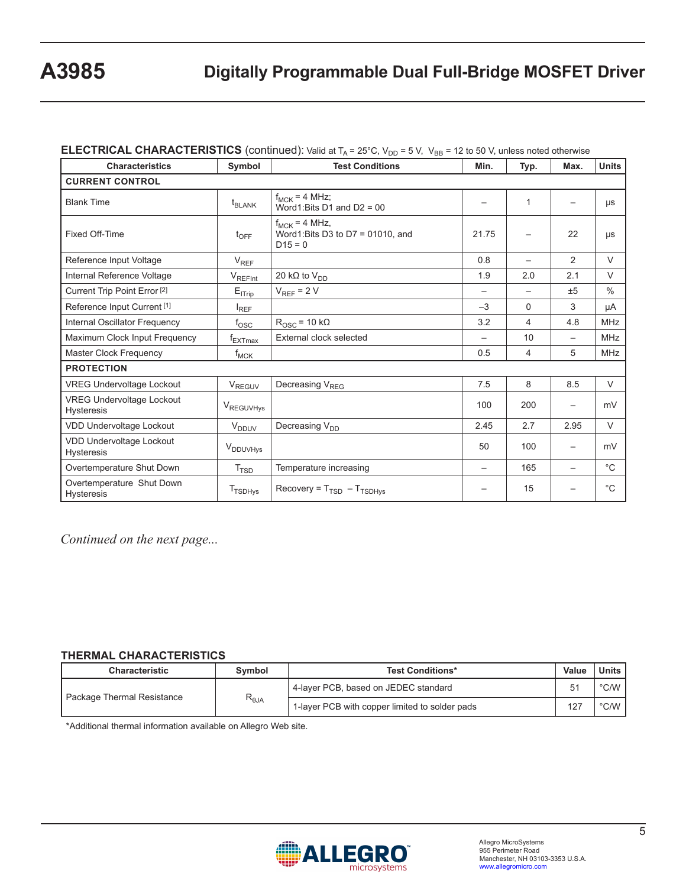## **ELECTRICAL CHARACTERISTICS** (continued): Valid at T<sub>A</sub> = 25°C, V<sub>DD</sub> = 5 V, V<sub>BB</sub> = 12 to 50 V, unless noted otherwise

| <b>Characteristics</b>                                | Symbol                   | <b>Test Conditions</b>                                               | Min.                     | Typ.                     | Max.                     | <b>Units</b>  |
|-------------------------------------------------------|--------------------------|----------------------------------------------------------------------|--------------------------|--------------------------|--------------------------|---------------|
| <b>CURRENT CONTROL</b>                                |                          |                                                                      |                          |                          |                          |               |
| <b>Blank Time</b>                                     | $t_{BLANK}$              | $f_{MCK} = 4 MHz$ ;<br>Word1:Bits D1 and D2 = $00$                   |                          | 1                        |                          | μs            |
| Fixed Off-Time                                        | $t_{\text{OFF}}$         | $f_{MCK} = 4 MHz$ ,<br>Word1:Bits D3 to D7 = 01010, and<br>$D15 = 0$ | 21.75                    |                          | 22                       | μs            |
| Reference Input Voltage                               | $V_{REF}$                |                                                                      | 0.8                      |                          | 2                        | $\vee$        |
| Internal Reference Voltage                            | $V_{REFint$              | 20 k $\Omega$ to $V_{DD}$                                            | 1.9                      | 2.0                      | 2.1                      | $\vee$        |
| Current Trip Point Error <sup>[2]</sup>               | $E_{ITrip}$              | $V_{REF}$ = 2 V                                                      | $\overline{\phantom{0}}$ | $\overline{\phantom{0}}$ | ±5                       | $\frac{0}{0}$ |
| Reference Input Current <sup>[1]</sup>                | $I_{REF}$                |                                                                      | $-3$                     | 0                        | 3                        | μA            |
| Internal Oscillator Frequency                         | $f_{\rm OSC}$            | $R_{\text{OSC}}$ = 10 k $\Omega$                                     | 3.2                      | 4                        | 4.8                      | <b>MHz</b>    |
| Maximum Clock Input Frequency                         | $f_{EXTmax}$             | External clock selected                                              | $\overline{\phantom{0}}$ | 10                       | $\qquad \qquad -$        | <b>MHz</b>    |
| <b>Master Clock Frequency</b>                         | $f_{MCK}$                |                                                                      | 0.5                      | 4                        | 5                        | <b>MHz</b>    |
| <b>PROTECTION</b>                                     |                          |                                                                      |                          |                          |                          |               |
| <b>VREG Undervoltage Lockout</b>                      | $V_{\text{REGUV}}$       | Decreasing V <sub>REG</sub>                                          | 7.5                      | 8                        | 8.5                      | $\vee$        |
| <b>VREG Undervoltage Lockout</b><br><b>Hysteresis</b> | VREGUVHys                |                                                                      | 100                      | 200                      |                          | mV            |
| <b>VDD Undervoltage Lockout</b>                       | <b>V</b> <sub>DDUV</sub> | Decreasing V <sub>DD</sub>                                           | 2.45                     | 2.7                      | 2.95                     | $\vee$        |
| VDD Undervoltage Lockout<br><b>Hysteresis</b>         | V <sub>DDUVHys</sub>     |                                                                      | 50                       | 100                      |                          | mV            |
| Overtemperature Shut Down                             | T <sub>TSD</sub>         | Temperature increasing                                               |                          | 165                      | $\overline{\phantom{m}}$ | $^{\circ}$ C  |
| Overtemperature Shut Down<br><b>Hysteresis</b>        | T <sub>TSDHys</sub>      | Recovery = $T_{TSD} - T_{TSDHys}$                                    |                          | 15                       |                          | $^{\circ}$ C  |

*Continued on the next page...*

#### **THERMAL CHARACTERISTICS**

| <b>Characteristic</b>      | Symbol                            | <b>Test Conditions*</b>                        | Value | <b>Units</b>  |
|----------------------------|-----------------------------------|------------------------------------------------|-------|---------------|
|                            |                                   | 4-layer PCB, based on JEDEC standard           | 51    | $\degree$ C/W |
| Package Thermal Resistance | $\mathsf{R}_{\theta \mathsf{JA}}$ | 1-layer PCB with copper limited to solder pads | 127   | $\degree$ C/W |

\*Additional thermal information available on Allegro Web site.

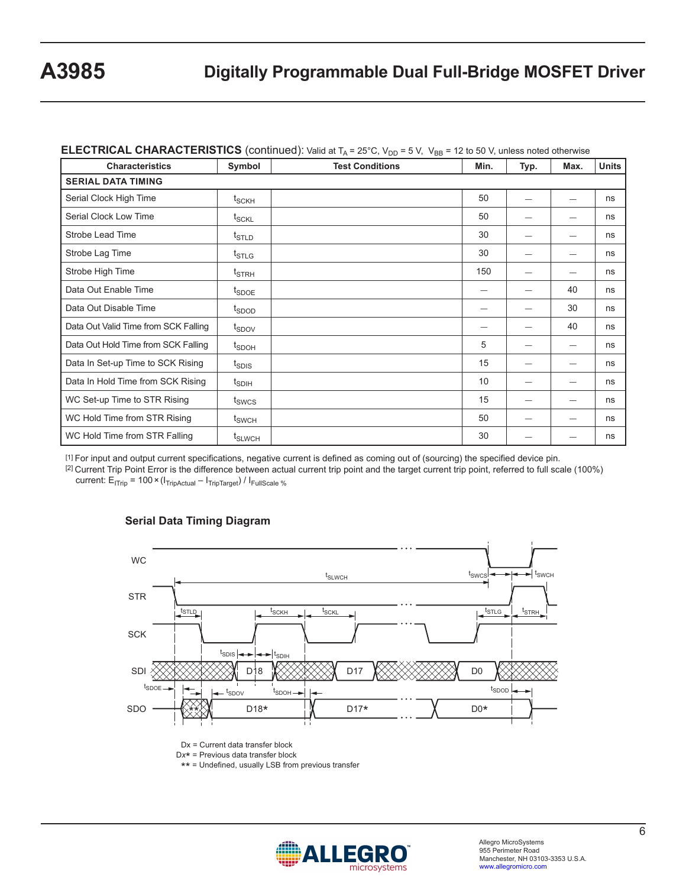| <b>Characteristics</b>               | Symbol                               | <b>Test Conditions</b> | Min. | Typ. | Max.                     | <b>Units</b> |
|--------------------------------------|--------------------------------------|------------------------|------|------|--------------------------|--------------|
| <b>SERIAL DATA TIMING</b>            |                                      |                        |      |      |                          |              |
| Serial Clock High Time               | $t_{\scriptstyle\text{SCKH}}$        |                        | 50   |      |                          | ns           |
| Serial Clock Low Time                | t <sub>SCKL</sub>                    |                        | 50   |      |                          | ns           |
| <b>Strobe Lead Time</b>              | $t_{\scriptstyle\text{STLD}}$        |                        | 30   |      |                          | ns           |
| Strobe Lag Time                      | $t_{\scriptstyle\text{STLG}}$        |                        | 30   |      |                          | ns           |
| Strobe High Time                     | $t_{\footnotesize\rm STRH}$          |                        | 150  |      |                          | ns           |
| Data Out Enable Time                 | <sup>t</sup> SDOE                    |                        | –    |      | 40                       | ns           |
| Data Out Disable Time                | t <sub>SDOD</sub>                    |                        |      |      | 30                       | ns           |
| Data Out Valid Time from SCK Falling | t <sub>spov</sub>                    |                        |      |      | 40                       | ns           |
| Data Out Hold Time from SCK Falling  | $\textnormal{t}_{\textnormal{SDOH}}$ |                        | 5    |      |                          | ns           |
| Data In Set-up Time to SCK Rising    | t <sub>SDIS</sub>                    |                        | 15   |      |                          | ns           |
| Data In Hold Time from SCK Rising    | t <sub>SDIH</sub>                    |                        | 10   |      | $\overline{\phantom{0}}$ | ns           |
| WC Set-up Time to STR Rising         | t <sub>swcs</sub>                    |                        | 15   |      |                          | ns           |
| WC Hold Time from STR Rising         | t <sub>SWCH</sub>                    |                        | 50   |      |                          | ns           |
| WC Hold Time from STR Falling        | t <sub>SLWCH</sub>                   |                        | 30   |      |                          | ns           |

### **ELECTRICAL CHARACTERISTICS** (continued): Valid at T. = 25°C, V<sub>20</sub> = 5 V, V<sub>20</sub> = 12 to 50 V, unless noted otherwise

[1] For input and output current specifications, negative current is defined as coming out of (sourcing) the specified device pin. [2] Current Trip Point Error is the difference between actual current trip point and the target current trip point, referred to full scale (100%)

current:  $E_{ITrip}$  = 100 × ( $I_{TripActual}$  –  $I_{TripTarget}$ ) /  $I_{FullScale %}$ 



#### **Serial Data Timing Diagram**

Dx = Current data transfer block

<sup>D</sup>*x*\* = Previous data transfer block

\*\* = Undefined, usually LSB from previous transfer

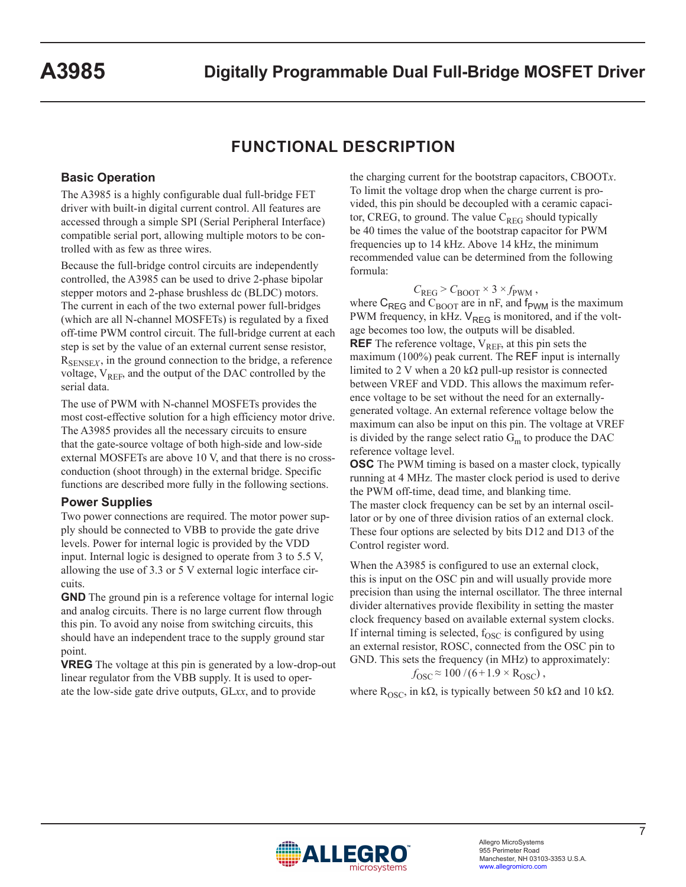# **FUNCTIONAL DESCRIPTION**

### **Basic Operation**

The A3985 is a highly configurable dual full-bridge FET driver with built-in digital current control. All features are accessed through a simple SPI (Serial Peripheral Interface) compatible serial port, allowing multiple motors to be controlled with as few as three wires.

Because the full-bridge control circuits are independently controlled, the A3985 can be used to drive 2-phase bipolar stepper motors and 2-phase brushless dc (BLDC) motors. The current in each of the two external power full-bridges (which are all N-channel MOSFETs) is regulated by a fixed off-time PWM control circuit. The full-bridge current at each step is set by the value of an external current sense resistor,  $R_{\text{SENSE}Y}$ , in the ground connection to the bridge, a reference voltage,  $V_{REF}$ , and the output of the DAC controlled by the serial data.

The use of PWM with N-channel MOSFETs provides the most cost-effective solution for a high efficiency motor drive. The A3985 provides all the necessary circuits to ensure that the gate-source voltage of both high-side and low-side external MOSFETs are above 10 V, and that there is no crossconduction (shoot through) in the external bridge. Specific functions are described more fully in the following sections.

### **Power Supplies**

Two power connections are required. The motor power supply should be connected to VBB to provide the gate drive levels. Power for internal logic is provided by the VDD input. Internal logic is designed to operate from 3 to 5.5 V, allowing the use of 3.3 or 5 V external logic interface circuits.

**GND** The ground pin is a reference voltage for internal logic and analog circuits. There is no large current flow through this pin. To avoid any noise from switching circuits, this should have an independent trace to the supply ground star point.

**VREG** The voltage at this pin is generated by a low-drop-out linear regulator from the VBB supply. It is used to operate the low-side gate drive outputs, GL*xx*, and to provide

the charging current for the bootstrap capacitors, CBOOT*x*. To limit the voltage drop when the charge current is provided, this pin should be decoupled with a ceramic capacitor, CREG, to ground. The value  $C_{REG}$  should typically be 40 times the value of the bootstrap capacitor for PWM frequencies up to 14 kHz. Above 14 kHz, the minimum recommended value can be determined from the following formula:

$$
C_{\text{REG}} > C_{\text{BOOT}} \times 3 \times f_{\text{PWM}} ,
$$

where  $C_{\text{REG}}$  and  $C_{\text{BOOT}}$  are in nF, and  $f_{\text{PWM}}$  is the maximum PWM frequency, in kHz.  $V_{REG}$  is monitored, and if the voltage becomes too low, the outputs will be disabled. **REF** The reference voltage,  $V_{REF}$ , at this pin sets the maximum (100%) peak current. The REF input is internally limited to 2 V when a 20 k $\Omega$  pull-up resistor is connected between VREF and VDD. This allows the maximum reference voltage to be set without the need for an externallygenerated voltage. An external reference voltage below the maximum can also be input on this pin. The voltage at VREF is divided by the range select ratio  $G<sub>m</sub>$  to produce the DAC reference voltage level.

**OSC** The PWM timing is based on a master clock, typically running at 4 MHz. The master clock period is used to derive the PWM off-time, dead time, and blanking time. The master clock frequency can be set by an internal oscillator or by one of three division ratios of an external clock. These four options are selected by bits D12 and D13 of the Control register word.

When the A3985 is configured to use an external clock, this is input on the OSC pin and will usually provide more precision than using the internal oscillator. The three internal divider alternatives provide flexibility in setting the master clock frequency based on available external system clocks. If internal timing is selected,  $f_{\rm OSC}$  is configured by using an external resistor, ROSC, connected from the OSC pin to GND. This sets the frequency (in MHz) to approximately:  $f_{\rm OSC} \approx 100 / (6 + 1.9 \times R_{\rm OSC})$ ,

where R<sub>OSC</sub>, in kΩ, is typically between 50 kΩ and 10 kΩ.

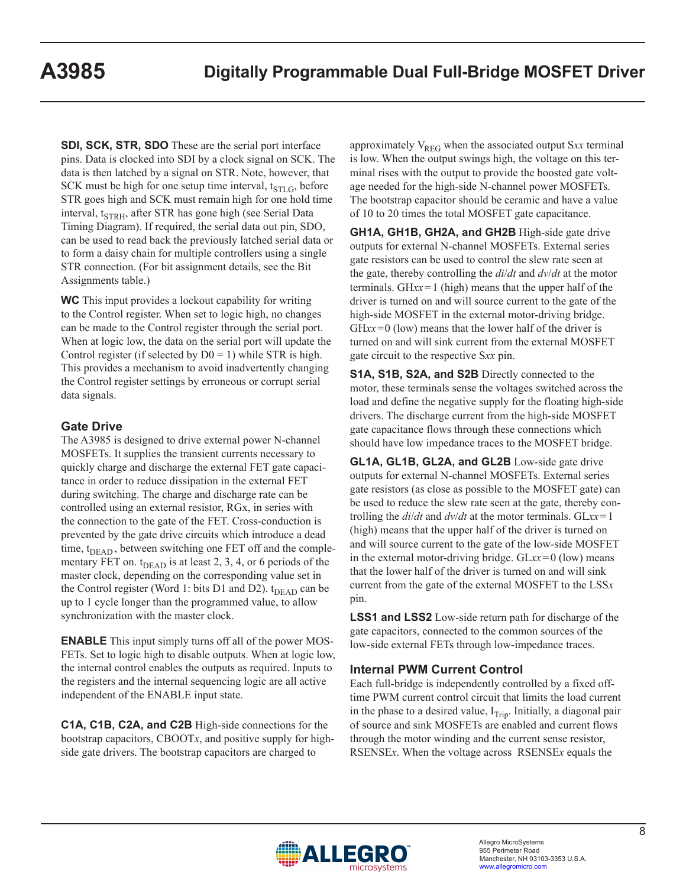**SDI, SCK, STR, SDO** These are the serial port interface pins. Data is clocked into SDI by a clock signal on SCK. The data is then latched by a signal on STR. Note, however, that SCK must be high for one setup time interval,  $t_{STLG}$ , before STR goes high and SCK must remain high for one hold time interval,  $t_{STRH}$ , after STR has gone high (see Serial Data Timing Diagram). If required, the serial data out pin, SDO, can be used to read back the previously latched serial data or to form a daisy chain for multiple controllers using a single STR connection. (For bit assignment details, see the Bit Assignments table.)

**WC** This input provides a lockout capability for writing to the Control register. When set to logic high, no changes can be made to the Control register through the serial port. When at logic low, the data on the serial port will update the Control register (if selected by  $D0 = 1$ ) while STR is high. This provides a mechanism to avoid inadvertently changing the Control register settings by erroneous or corrupt serial data signals.

## **Gate Drive**

The A3985 is designed to drive external power N-channel MOSFETs. It supplies the transient currents necessary to quickly charge and discharge the external FET gate capacitance in order to reduce dissipation in the external FET during switching. The charge and discharge rate can be controlled using an external resistor, RGx, in series with the connection to the gate of the FET. Cross-conduction is prevented by the gate drive circuits which introduce a dead time,  $t_{DEAD}$ , between switching one FET off and the complementary FET on.  $t_{DEAD}$  is at least 2, 3, 4, or 6 periods of the master clock, depending on the corresponding value set in the Control register (Word 1: bits D1 and D2). t<sub>DEAD</sub> can be up to 1 cycle longer than the programmed value, to allow synchronization with the master clock.

**ENABLE** This input simply turns off all of the power MOS-FETs. Set to logic high to disable outputs. When at logic low, the internal control enables the outputs as required. Inputs to the registers and the internal sequencing logic are all active independent of the ENABLE input state.

**C1A, C1B, C2A, and C2B** High-side connections for the bootstrap capacitors, CBOOT*x*, and positive supply for highside gate drivers. The bootstrap capacitors are charged to

approximately V<sub>REG</sub> when the associated output Sxx terminal is low. When the output swings high, the voltage on this terminal rises with the output to provide the boosted gate voltage needed for the high-side N-channel power MOSFETs. The bootstrap capacitor should be ceramic and have a value of 10 to 20 times the total MOSFET gate capacitance.

**GH1A, GH1B, GH2A, and GH2B** High-side gate drive outputs for external N-channel MOSFETs. External series gate resistors can be used to control the slew rate seen at the gate, thereby controlling the *di*/*dt* and *dv*/*dt* at the motor terminals. GH*xx*=1 (high) means that the upper half of the driver is turned on and will source current to the gate of the high-side MOSFET in the external motor-driving bridge. GH*xx*=0 (low) means that the lower half of the driver is turned on and will sink current from the external MOSFET gate circuit to the respective S*xx* pin.

**S1A, S1B, S2A, and S2B** Directly connected to the motor, these terminals sense the voltages switched across the load and define the negative supply for the floating high-side drivers. The discharge current from the high-side MOSFET gate capacitance flows through these connections which should have low impedance traces to the MOSFET bridge.

**GL1A, GL1B, GL2A, and GL2B** Low-side gate drive outputs for external N-channel MOSFETs. External series gate resistors (as close as possible to the MOSFET gate) can be used to reduce the slew rate seen at the gate, thereby controlling the *di*/*dt* and *dv*/*dt* at the motor terminals. GL*xx*=1 (high) means that the upper half of the driver is turned on and will source current to the gate of the low-side MOSFET in the external motor-driving bridge. GL*xx*=0 (low) means that the lower half of the driver is turned on and will sink current from the gate of the external MOSFET to the LSS*x* pin.

**LSS1 and LSS2** Low-side return path for discharge of the gate capacitors, connected to the common sources of the low-side external FETs through low-impedance traces.

### **Internal PWM Current Control**

Each full-bridge is independently controlled by a fixed offtime PWM current control circuit that limits the load current in the phase to a desired value,  $I_{\text{Trip}}$ . Initially, a diagonal pair of source and sink MOSFETs are enabled and current flows through the motor winding and the current sense resistor, RSENSE*x*. When the voltage across RSENSE*x* equals the

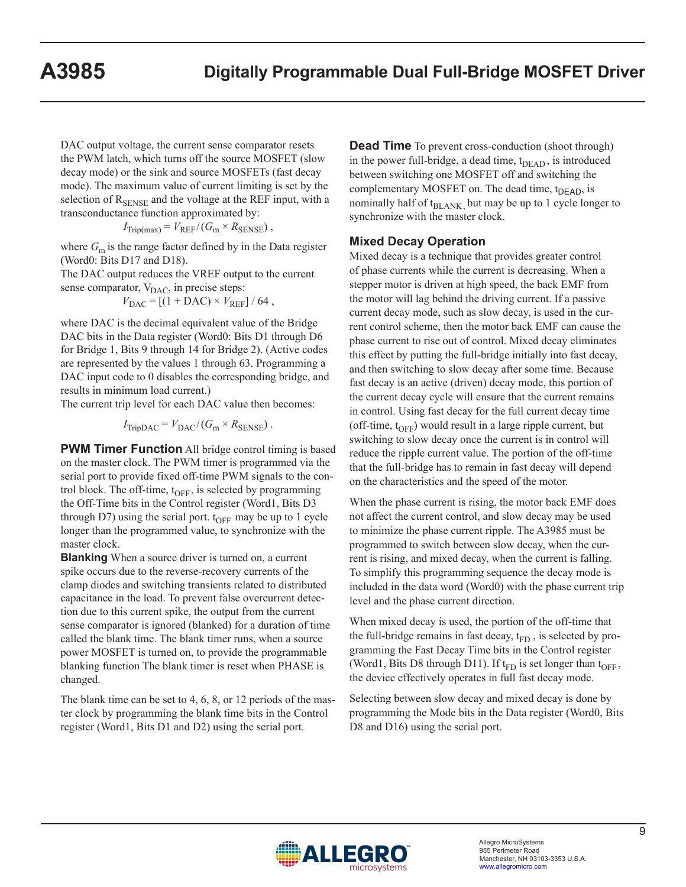DAC output voltage, the current sense comparator resets the PWM latch, which turns off the source MOSFET (slow decay mode) or the sink and source MOSFETs (fast decay mode). The maximum value of current limiting is set by the selection of  $R_{\text{SENSE}}$  and the voltage at the REF input, with a transconductance function approximated by:

$$
I_{\text{Trip(max)}} = V_{\text{REF}} / (G_{\text{m}} \times R_{\text{SENSE}}),
$$

where  $G_m$  is the range factor defined by in the Data register (Word0: Bits D17 and D18).

The DAC output reduces the VREF output to the current sense comparator,  $V_{\text{DAC}}$ , in precise steps:

 $V_{\text{DAC}} = [(1 + \text{DAC}) \times V_{\text{REF}}] / 64$ ,

where DAC is the decimal equivalent value of the Bridge DAC bits in the Data register (Word0: Bits D1 through D6 for Bridge 1, Bits 9 through 14 for Bridge 2). (Active codes are represented by the values 1 through 63. Programming a DAC input code to 0 disables the corresponding bridge, and results in minimum load current.)

The current trip level for each DAC value then becomes:

 $I_{\text{TripDAC}} = V_{\text{DAC}} / (G_{\text{m}} \times R_{\text{SENSE}})$ .

**PWM Timer Function** All bridge control timing is based on the master clock. The PWM timer is programmed via the serial port to provide fixed off-time PWM signals to the control block. The off-time,  $t_{\text{OFF}}$ , is selected by programming the Off-Time bits in the Control register (Word1, Bits D3 through D7) using the serial port.  $t_{OFF}$  may be up to 1 cycle longer than the programmed value, to synchronize with the master clock.

**Blanking** When a source driver is turned on, a current spike occurs due to the reverse-recovery currents of the clamp diodes and switching transients related to distributed capacitance in the load. To prevent false overcurrent detection due to this current spike, the output from the current sense comparator is ignored (blanked) for a duration of time called the blank time. The blank timer runs, when a source power MOSFET is turned on, to provide the programmable blanking function The blank timer is reset when PHASE is changed.

The blank time can be set to 4, 6, 8, or 12 periods of the master clock by programming the blank time bits in the Control register (Word1, Bits D1 and D2) using the serial port.

**Dead Time** To prevent cross-conduction (shoot through) in the power full-bridge, a dead time,  $t_{\text{DEAD}}$ , is introduced between switching one MOSFET off and switching the complementary MOSFET on. The dead time,  $t_{DEAD}$ , is nominally half of  $t_{BLANK}$ , but may be up to 1 cycle longer to synchronize with the master clock.

#### **Mixed Decay Operation**

Mixed decay is a technique that provides greater control of phase currents while the current is decreasing. When a stepper motor is driven at high speed, the back EMF from the motor will lag behind the driving current. If a passive current decay mode, such as slow decay, is used in the current control scheme, then the motor back EMF can cause the phase current to rise out of control. Mixed decay eliminates this effect by putting the full-bridge initially into fast decay, and then switching to slow decay after some time. Because fast decay is an active (driven) decay mode, this portion of the current decay cycle will ensure that the current remains in control. Using fast decay for the full current decay time (off-time,  $t_{\text{OFF}}$ ) would result in a large ripple current, but switching to slow decay once the current is in control will reduce the ripple current value. The portion of the off-time that the full-bridge has to remain in fast decay will depend on the characteristics and the speed of the motor.

When the phase current is rising, the motor back EMF does not affect the current control, and slow decay may be used to minimize the phase current ripple. The A3985 must be programmed to switch between slow decay, when the current is rising, and mixed decay, when the current is falling. To simplify this programming sequence the decay mode is included in the data word (Word0) with the phase current trip level and the phase current direction.

When mixed decay is used, the portion of the off-time that the full-bridge remains in fast decay,  $t_{FD}$ , is selected by programming the Fast Decay Time bits in the Control register (Word1, Bits D8 through D11). If  $t_{FD}$  is set longer than  $t_{OFF}$ , the device effectively operates in full fast decay mode.

Selecting between slow decay and mixed decay is done by programming the Mode bits in the Data register (Word0, Bits D8 and D16) using the serial port.

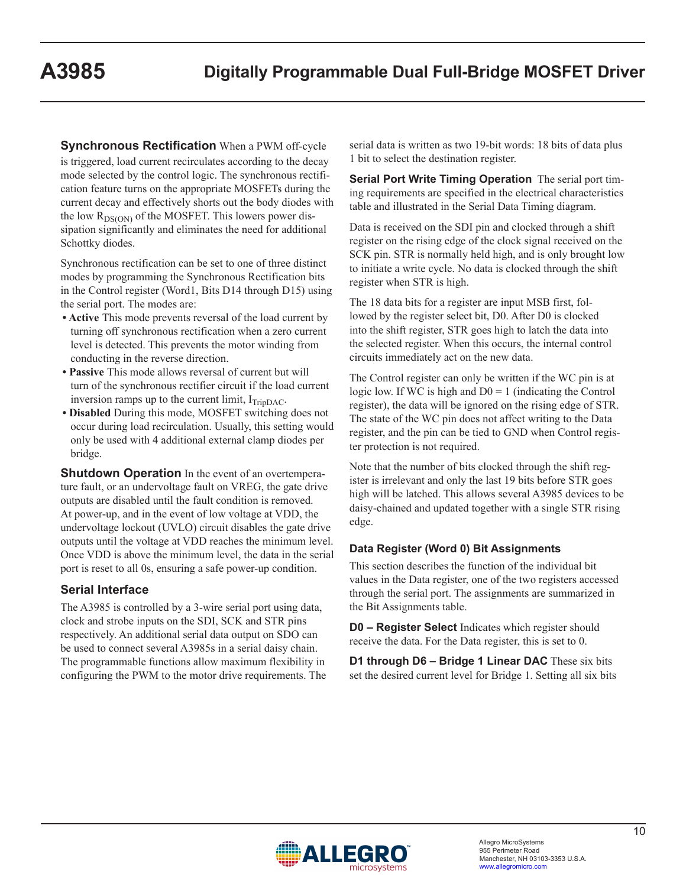**Synchronous Rectification** When a PWM off-cycle is triggered, load current recirculates according to the decay mode selected by the control logic. The synchronous rectification feature turns on the appropriate MOSFETs during the current decay and effectively shorts out the body diodes with the low  $R_{DS(ON)}$  of the MOSFET. This lowers power dissipation significantly and eliminates the need for additional Schottky diodes.

Synchronous rectification can be set to one of three distinct modes by programming the Synchronous Rectification bits in the Control register (Word1, Bits D14 through D15) using the serial port. The modes are:

- **Active** This mode prevents reversal of the load current by turning off synchronous rectification when a zero current level is detected. This prevents the motor winding from conducting in the reverse direction.
- **Passive** This mode allows reversal of current but will turn of the synchronous rectifier circuit if the load current inversion ramps up to the current limit,  $I_{TripDAC}$ .
- **Disabled** During this mode, MOSFET switching does not occur during load recirculation. Usually, this setting would only be used with 4 additional external clamp diodes per bridge.

**Shutdown Operation** In the event of an overtemperature fault, or an undervoltage fault on VREG, the gate drive outputs are disabled until the fault condition is removed. At power-up, and in the event of low voltage at VDD, the undervoltage lockout (UVLO) circuit disables the gate drive outputs until the voltage at VDD reaches the minimum level. Once VDD is above the minimum level, the data in the serial port is reset to all 0s, ensuring a safe power-up condition.

### **Serial Interface**

The A3985 is controlled by a 3-wire serial port using data, clock and strobe inputs on the SDI, SCK and STR pins respectively. An additional serial data output on SDO can be used to connect several A3985s in a serial daisy chain. The programmable functions allow maximum flexibility in configuring the PWM to the motor drive requirements. The serial data is written as two 19-bit words: 18 bits of data plus 1 bit to select the destination register.

**Serial Port Write Timing Operation** The serial port timing requirements are specified in the electrical characteristics table and illustrated in the Serial Data Timing diagram.

Data is received on the SDI pin and clocked through a shift register on the rising edge of the clock signal received on the SCK pin. STR is normally held high, and is only brought low to initiate a write cycle. No data is clocked through the shift register when STR is high.

The 18 data bits for a register are input MSB first, followed by the register select bit, D0. After D0 is clocked into the shift register, STR goes high to latch the data into the selected register. When this occurs, the internal control circuits immediately act on the new data.

The Control register can only be written if the WC pin is at logic low. If WC is high and  $D0 = 1$  (indicating the Control register), the data will be ignored on the rising edge of STR. The state of the WC pin does not affect writing to the Data register, and the pin can be tied to GND when Control register protection is not required.

Note that the number of bits clocked through the shift register is irrelevant and only the last 19 bits before STR goes high will be latched. This allows several A3985 devices to be daisy-chained and updated together with a single STR rising edge.

### **Data Register (Word 0) Bit Assignments**

This section describes the function of the individual bit values in the Data register, one of the two registers accessed through the serial port. The assignments are summarized in the Bit Assignments table.

**D0 – Register Select** Indicates which register should receive the data. For the Data register, this is set to 0.

**D1 through D6 – Bridge 1 Linear DAC** These six bits set the desired current level for Bridge 1. Setting all six bits

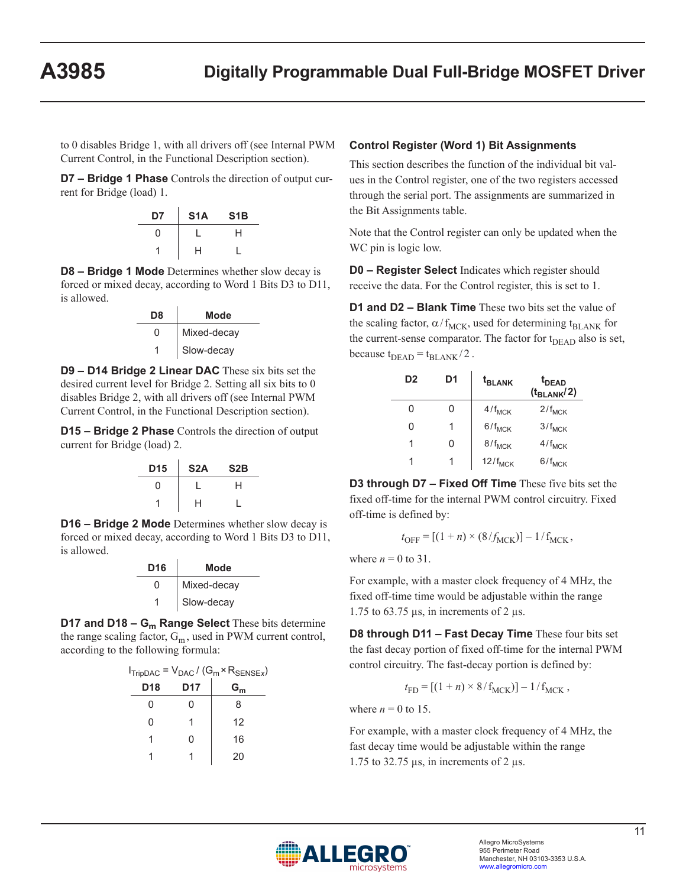to 0 disables Bridge 1, with all drivers off (see Internal PWM Current Control, in the Functional Description section).

**D7 – Bridge 1 Phase** Controls the direction of output current for Bridge (load) 1.

| D7 | S <sub>1</sub> A | S <sub>1</sub> B |
|----|------------------|------------------|
| U  |                  | н                |
|    | н                |                  |

**D8 – Bridge 1 Mode** Determines whether slow decay is forced or mixed decay, according to Word 1 Bits D3 to D11, is allowed.

| D8 | Mode        |
|----|-------------|
| O  | Mixed-decay |
| 1  | Slow-decay  |

**D9 – D14 Bridge 2 Linear DAC** These six bits set the desired current level for Bridge 2. Setting all six bits to 0 disables Bridge 2, with all drivers off (see Internal PWM Current Control, in the Functional Description section).

**D15 – Bridge 2 Phase** Controls the direction of output current for Bridge (load) 2.

| D <sub>15</sub> | S <sub>2</sub> A | S2B |
|-----------------|------------------|-----|
| U               |                  | н   |
|                 | н                |     |

**D16 – Bridge 2 Mode** Determines whether slow decay is forced or mixed decay, according to Word 1 Bits D3 to D11, is allowed.

| D <sub>16</sub> | Mode        |
|-----------------|-------------|
| O               | Mixed-decay |
|                 | Slow-decay  |

**D17 and D18 – G<sub>m</sub> Range Select** These bits determine the range scaling factor,  $G_m$ , used in PWM current control, according to the following formula:

| $I_{TripDAC} = V_{DAC} / (G_m \times R_{SE NSE})$ |                 |       |  |  |  |  |
|---------------------------------------------------|-----------------|-------|--|--|--|--|
| D <sub>18</sub>                                   | D <sub>17</sub> | $G_m$ |  |  |  |  |
| O                                                 | O               | 8     |  |  |  |  |
| N                                                 |                 | 12    |  |  |  |  |
|                                                   | 0               | 16    |  |  |  |  |
|                                                   |                 | 20    |  |  |  |  |

#### **Control Register (Word 1) Bit Assignments**

This section describes the function of the individual bit values in the Control register, one of the two registers accessed through the serial port. The assignments are summarized in the Bit Assignments table.

Note that the Control register can only be updated when the WC pin is logic low.

**D0 – Register Select** Indicates which register should receive the data. For the Control register, this is set to 1.

**D1 and D2 – Blank Time** These two bits set the value of the scaling factor,  $\alpha / f_{MCK}$ , used for determining t<sub>BLANK</sub> for the current-sense comparator. The factor for  $t<sub>DEAD</sub>$  also is set, because  $t_{DEAD} = t_{BLANK} / 2$ .

| D <sub>2</sub> | D1 | t <sub>BLANK</sub> | t <sub>DEAD</sub><br>$(t_{BLANK}/2)$ |
|----------------|----|--------------------|--------------------------------------|
| 0              | 0  | $4/f_{MCK}$        | $2/f_{MCK}$                          |
| 0              |    | $6/f_{MCK}$        | $3/f_{MCK}$                          |
| 1              | O  | $8/f_{MCK}$        | $4/f_{MCK}$                          |
| 1              |    | $12/f_{MCK}$       | $6/f_{MCK}$                          |

**D3 through D7 – Fixed Off Time** These five bits set the fixed off-time for the internal PWM control circuitry. Fixed off-time is defined by:

$$
t_{\text{OFF}} = [(1 + n) \times (8/f_{\text{MCK}})] - 1/f_{\text{MCK}},
$$

where  $n = 0$  to 31.

For example, with a master clock frequency of 4 MHz, the fixed off-time time would be adjustable within the range 1.75 to 63.75  $\mu$ s, in increments of 2  $\mu$ s.

**D8 through D11 – Fast Decay Time** These four bits set the fast decay portion of fixed off-time for the internal PWM control circuitry. The fast-decay portion is defined by:

$$
t_{\rm FD} = [(1 + n) \times 8 / f_{\rm MCK})] - 1 / f_{\rm MCK} ,
$$

where  $n = 0$  to 15.

For example, with a master clock frequency of 4 MHz, the fast decay time would be adjustable within the range 1.75 to 32.75  $\mu$ s, in increments of 2  $\mu$ s.

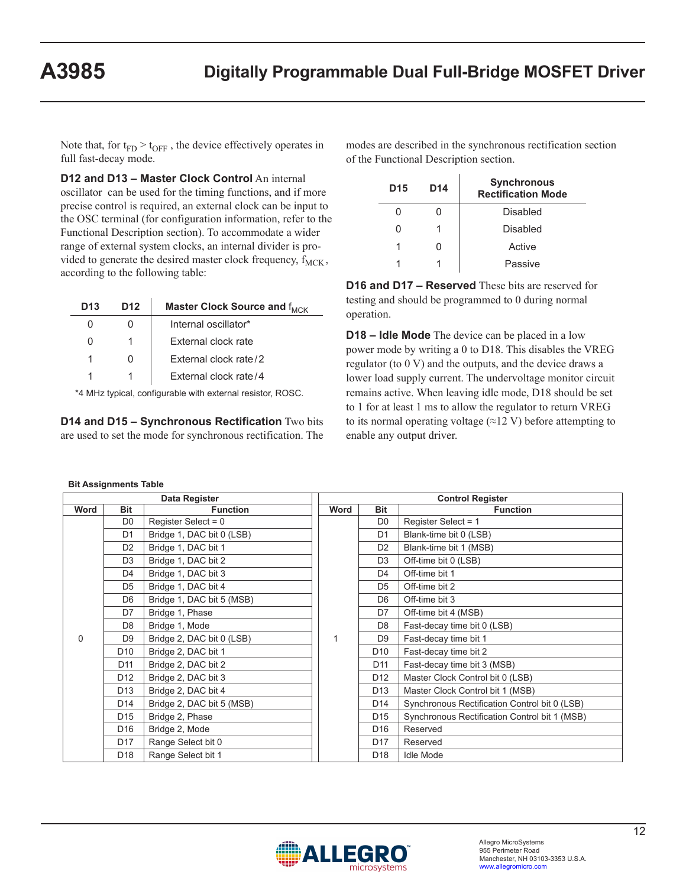Note that, for  $t_{FD} > t_{OFF}$ , the device effectively operates in full fast-decay mode.

**D12 and D13 – Master Clock Control** An internal oscillator can be used for the timing functions, and if more precise control is required, an external clock can be input to the OSC terminal (for configuration information, refer to the Functional Description section). To accommodate a wider range of external system clocks, an internal divider is provided to generate the desired master clock frequency,  $f_{MCK}$ , according to the following table:

| D13 | D12 | Master Clock Source and f <sub>MCK</sub> |
|-----|-----|------------------------------------------|
|     |     | Internal oscillator*                     |
|     |     | External clock rate                      |
|     |     | External clock rate/2                    |
|     |     | External clock rate/4                    |

\*4 MHz typical, configurable with external resistor, ROSC.

**D14 and D15 – Synchronous Rectification** Two bits are used to set the mode for synchronous rectification. The

| modes are described in the synchronous rectification section |  |
|--------------------------------------------------------------|--|
| of the Functional Description section.                       |  |

| D <sub>15</sub> | D <sub>14</sub> | <b>Synchronous</b><br><b>Rectification Mode</b> |
|-----------------|-----------------|-------------------------------------------------|
|                 |                 | Disabled                                        |
|                 |                 | Disabled                                        |
|                 | 0               | Active                                          |
|                 |                 | Passive                                         |

**D16 and D17 – Reserved** These bits are reserved for testing and should be programmed to 0 during normal operation.

**D18 – Idle Mode** The device can be placed in a low power mode by writing a 0 to D18. This disables the VREG regulator (to 0 V) and the outputs, and the device draws a lower load supply current. The undervoltage monitor circuit remains active. When leaving idle mode, D18 should be set to 1 for at least 1 ms to allow the regulator to return VREG to its normal operating voltage  $(\approx 12 \text{ V})$  before attempting to enable any output driver.

#### **Bit Assignments Table**

| Data Register |                 | <b>Control Register</b>   |      |                 |                                               |
|---------------|-----------------|---------------------------|------|-----------------|-----------------------------------------------|
| Word          | <b>Bit</b>      | <b>Function</b>           | Word | <b>Bit</b>      | <b>Function</b>                               |
|               | D <sub>0</sub>  | Register Select = $0$     |      | D <sub>0</sub>  | Register Select = 1                           |
|               | D <sub>1</sub>  | Bridge 1, DAC bit 0 (LSB) |      | D <sub>1</sub>  | Blank-time bit 0 (LSB)                        |
|               | D <sub>2</sub>  | Bridge 1, DAC bit 1       |      | D <sub>2</sub>  | Blank-time bit 1 (MSB)                        |
|               | D <sub>3</sub>  | Bridge 1, DAC bit 2       |      | D <sub>3</sub>  | Off-time bit 0 (LSB)                          |
|               | D <sub>4</sub>  | Bridge 1, DAC bit 3       |      | D <sub>4</sub>  | Off-time bit 1                                |
| $\Omega$      | D <sub>5</sub>  | Bridge 1, DAC bit 4       |      | D <sub>5</sub>  | Off-time bit 2                                |
|               | D <sub>6</sub>  | Bridge 1, DAC bit 5 (MSB) | 1    | D <sub>6</sub>  | Off-time bit 3                                |
|               | D7              | Bridge 1, Phase           |      | D7              | Off-time bit 4 (MSB)                          |
|               | D <sub>8</sub>  | Bridge 1, Mode            |      | D <sub>8</sub>  | Fast-decay time bit 0 (LSB)                   |
|               | D <sub>9</sub>  | Bridge 2, DAC bit 0 (LSB) |      | D <sub>9</sub>  | Fast-decay time bit 1                         |
|               | D <sub>10</sub> | Bridge 2, DAC bit 1       |      | D <sub>10</sub> | Fast-decay time bit 2                         |
|               | D <sub>11</sub> | Bridge 2, DAC bit 2       |      | D <sub>11</sub> | Fast-decay time bit 3 (MSB)                   |
|               | D <sub>12</sub> | Bridge 2, DAC bit 3       |      | D <sub>12</sub> | Master Clock Control bit 0 (LSB)              |
|               | D <sub>13</sub> | Bridge 2, DAC bit 4       |      | D <sub>13</sub> | Master Clock Control bit 1 (MSB)              |
|               | D <sub>14</sub> | Bridge 2, DAC bit 5 (MSB) |      | D <sub>14</sub> | Synchronous Rectification Control bit 0 (LSB) |
|               | D <sub>15</sub> | Bridge 2, Phase           |      | D <sub>15</sub> | Synchronous Rectification Control bit 1 (MSB) |
|               | D <sub>16</sub> | Bridge 2, Mode            |      | D <sub>16</sub> | Reserved                                      |
|               | D <sub>17</sub> | Range Select bit 0        |      | D <sub>17</sub> | Reserved                                      |
|               | D <sub>18</sub> | Range Select bit 1        |      | D <sub>18</sub> | <b>Idle Mode</b>                              |

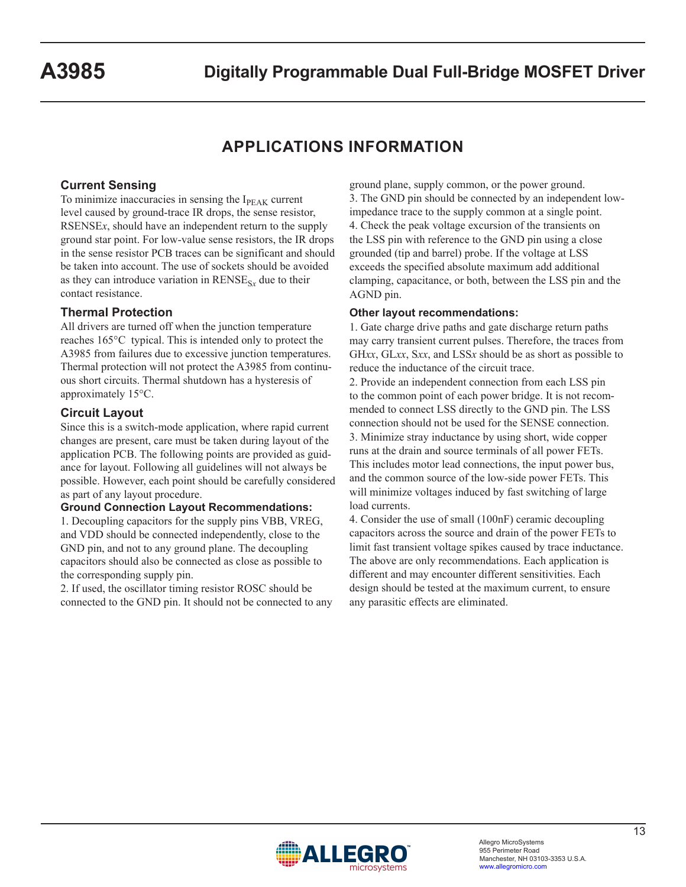# **APPLICATIONS INFORMATION**

### **Current Sensing**

To minimize inaccuracies in sensing the  $I<sub>PEAK</sub>$  current level caused by ground-trace IR drops, the sense resistor, RSENSE*x*, should have an independent return to the supply ground star point. For low-value sense resistors, the IR drops in the sense resistor PCB traces can be significant and should be taken into account. The use of sockets should be avoided as they can introduce variation in  $RENSE<sub>Sx</sub>$  due to their contact resistance.

#### **Thermal Protection**

All drivers are turned off when the junction temperature reaches 165°C typical. This is intended only to protect the A3985 from failures due to excessive junction temperatures. Thermal protection will not protect the A3985 from continuous short circuits. Thermal shutdown has a hysteresis of approximately 15°C.

#### **Circuit Layout**

Since this is a switch-mode application, where rapid current changes are present, care must be taken during layout of the application PCB. The following points are provided as guidance for layout. Following all guidelines will not always be possible. However, each point should be carefully considered as part of any layout procedure.

#### **Ground Connection Layout Recommendations:**

1. Decoupling capacitors for the supply pins VBB, VREG, and VDD should be connected independently, close to the GND pin, and not to any ground plane. The decoupling capacitors should also be connected as close as possible to the corresponding supply pin.

2. If used, the oscillator timing resistor ROSC should be connected to the GND pin. It should not be connected to any ground plane, supply common, or the power ground. 3. The GND pin should be connected by an independent lowimpedance trace to the supply common at a single point. 4. Check the peak voltage excursion of the transients on the LSS pin with reference to the GND pin using a close grounded (tip and barrel) probe. If the voltage at LSS exceeds the specified absolute maximum add additional clamping, capacitance, or both, between the LSS pin and the AGND pin.

#### **Other layout recommendations:**

1. Gate charge drive paths and gate discharge return paths may carry transient current pulses. Therefore, the traces from GH*xx*, GL*xx*, S*xx*, and LSS*x* should be as short as possible to reduce the inductance of the circuit trace.

2. Provide an independent connection from each LSS pin to the common point of each power bridge. It is not recommended to connect LSS directly to the GND pin. The LSS connection should not be used for the SENSE connection. 3. Minimize stray inductance by using short, wide copper runs at the drain and source terminals of all power FETs. This includes motor lead connections, the input power bus, and the common source of the low-side power FETs. This will minimize voltages induced by fast switching of large load currents.

4. Consider the use of small (100nF) ceramic decoupling capacitors across the source and drain of the power FETs to limit fast transient voltage spikes caused by trace inductance. The above are only recommendations. Each application is different and may encounter different sensitivities. Each design should be tested at the maximum current, to ensure any parasitic effects are eliminated.

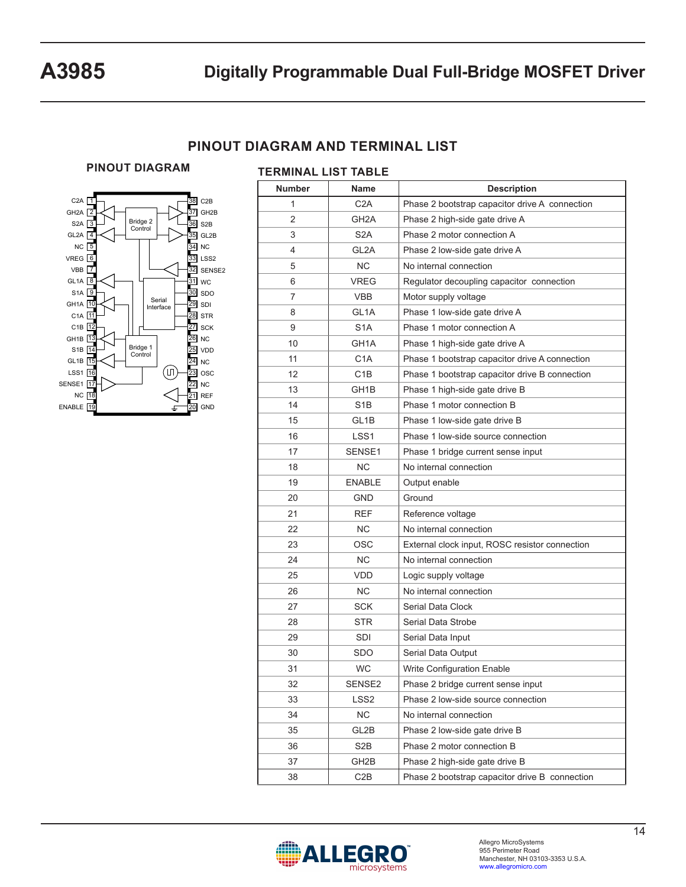## **PINOUT DIAGRAM AND TERMINAL LIST**

#### **PINOUT DIAGRAM**



| <b>Number</b>  | Name              | <b>Description</b>                             |
|----------------|-------------------|------------------------------------------------|
| 1              | C <sub>2</sub> A  | Phase 2 bootstrap capacitor drive A connection |
| $\overline{2}$ | GH <sub>2</sub> A | Phase 2 high-side gate drive A                 |
| 3              | S <sub>2</sub> A  | Phase 2 motor connection A                     |
| 4              | GL <sub>2</sub> A | Phase 2 low-side gate drive A                  |
| 5              | <b>NC</b>         | No internal connection                         |
| 6              | <b>VREG</b>       | Regulator decoupling capacitor connection      |
| 7              | <b>VBB</b>        | Motor supply voltage                           |
| 8              | GL <sub>1</sub> A | Phase 1 low-side gate drive A                  |
| 9              | S <sub>1</sub> A  | Phase 1 motor connection A                     |
| 10             | GH1A              | Phase 1 high-side gate drive A                 |
| 11             | C <sub>1</sub> A  | Phase 1 bootstrap capacitor drive A connection |
| 12             | C <sub>1</sub> B  | Phase 1 bootstrap capacitor drive B connection |
| 13             | GH1B              | Phase 1 high-side gate drive B                 |
| 14             | S <sub>1</sub> B  | Phase 1 motor connection B                     |
| 15             | GL <sub>1</sub> B | Phase 1 low-side gate drive B                  |
| 16             | LSS <sub>1</sub>  | Phase 1 low-side source connection             |
| 17             | SENSE1            | Phase 1 bridge current sense input             |
| 18             | <b>NC</b>         | No internal connection                         |
| 19             | <b>ENABLE</b>     | Output enable                                  |
| 20             | <b>GND</b>        | Ground                                         |
| 21             | <b>REF</b>        | Reference voltage                              |
| 22             | <b>NC</b>         | No internal connection                         |
| 23             | <b>OSC</b>        | External clock input, ROSC resistor connection |
| 24             | NC.               | No internal connection                         |
| 25             | <b>VDD</b>        | Logic supply voltage                           |
| 26             | NC.               | No internal connection                         |
| 27             | <b>SCK</b>        | Serial Data Clock                              |
| 28             | <b>STR</b>        | Serial Data Strobe                             |
| 29             | SDI               | Serial Data Input                              |
| 30             | <b>SDO</b>        | Serial Data Output                             |
| 31             | WC                | Write Configuration Enable                     |
| 32             | SENSE2            | Phase 2 bridge current sense input             |
| 33             | LSS <sub>2</sub>  | Phase 2 low-side source connection             |
| 34             | NC                | No internal connection                         |
| 35             | GL2B              | Phase 2 low-side gate drive B                  |
| 36             | S <sub>2</sub> B  | Phase 2 motor connection B                     |
| 37             | GH2B              | Phase 2 high-side gate drive B                 |
| 38             | C <sub>2</sub> B  | Phase 2 bootstrap capacitor drive B connection |
|                |                   |                                                |

#### **TERMINAL LIST TABLE**

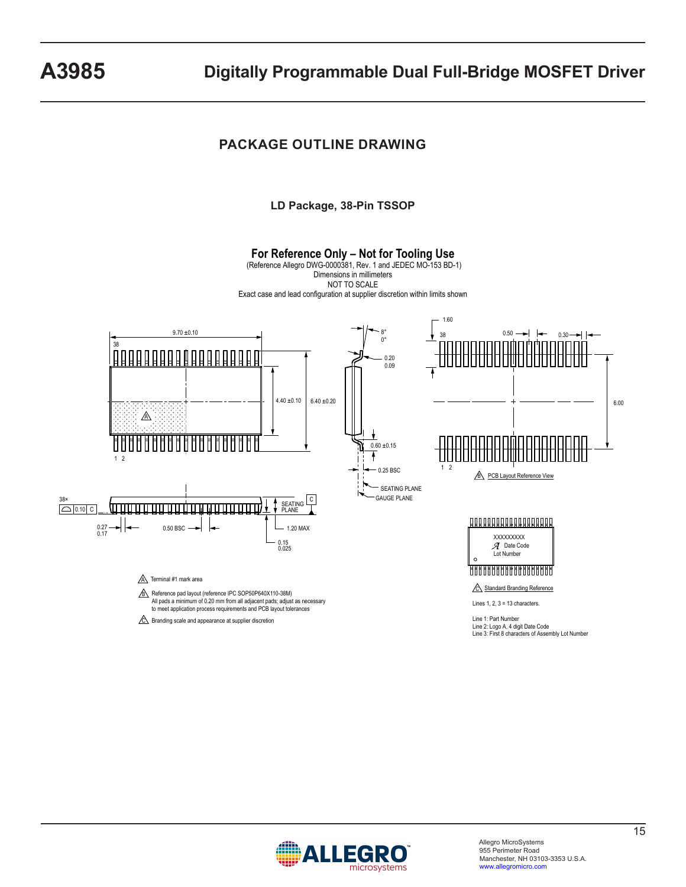## **PACKAGE OUTLINE DRAWING**

**LD Package, 38-Pin TSSOP**